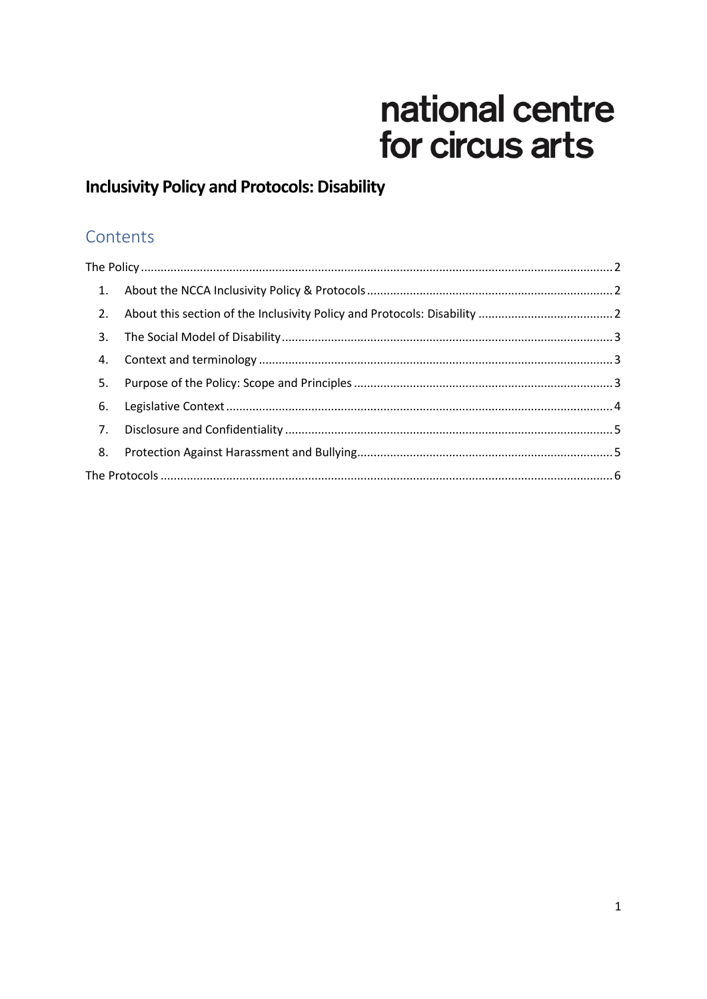# national centre for circus arts

## **Inclusivity Policy and Protocols: Disability**

## Contents

| 1. |  |  |  |
|----|--|--|--|
| 2. |  |  |  |
| 3. |  |  |  |
| 4. |  |  |  |
| 5. |  |  |  |
| 6. |  |  |  |
| 7. |  |  |  |
| 8. |  |  |  |
|    |  |  |  |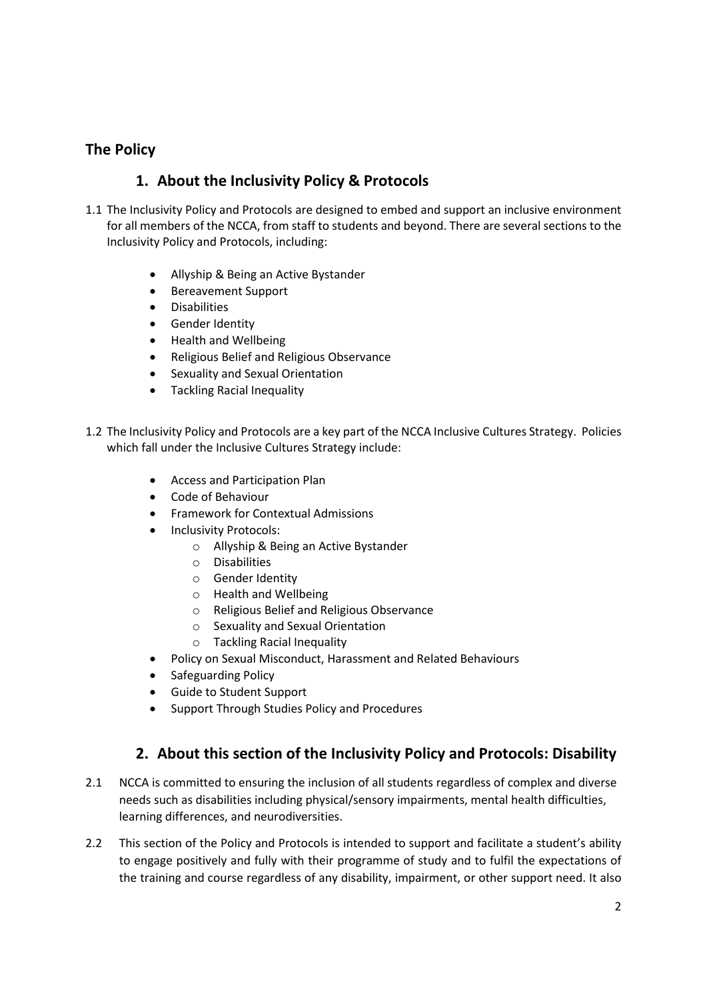## <span id="page-1-1"></span><span id="page-1-0"></span>**The Policy**

## **1. About the Inclusivity Policy & Protocols**

- 1.1 The Inclusivity Policy and Protocols are designed to embed and support an inclusive environment for all members of the NCCA, from staff to students and beyond. There are several sections to the Inclusivity Policy and Protocols, including:
	- Allyship & Being an Active Bystander
	- Bereavement Support
	- **•** Disabilities
	- **•** Gender Identity
	- Health and Wellbeing
	- Religious Belief and Religious Observance
	- Sexuality and Sexual Orientation
	- Tackling Racial Inequality
- 1.2 The Inclusivity Policy and Protocols are a key part of the NCCA Inclusive Cultures Strategy. Policies which fall under the Inclusive Cultures Strategy include:
	- Access and Participation Plan
	- Code of Behaviour
	- Framework for Contextual Admissions
	- Inclusivity Protocols:
		- o Allyship & Being an Active Bystander
		- o Disabilities
		- o Gender Identity
		- o Health and Wellbeing
		- o Religious Belief and Religious Observance
		- o Sexuality and Sexual Orientation
		- o Tackling Racial Inequality
	- Policy on Sexual Misconduct, Harassment and Related Behaviours
	- Safeguarding Policy
	- Guide to Student Support
	- Support Through Studies Policy and Procedures

## **2. About this section of the Inclusivity Policy and Protocols: Disability**

- <span id="page-1-2"></span>2.1 NCCA is committed to ensuring the inclusion of all students regardless of complex and diverse needs such as disabilities including physical/sensory impairments, mental health difficulties, learning differences, and neurodiversities.
- 2.2 This section of the Policy and Protocols is intended to support and facilitate a student's ability to engage positively and fully with their programme of study and to fulfil the expectations of the training and course regardless of any disability, impairment, or other support need. It also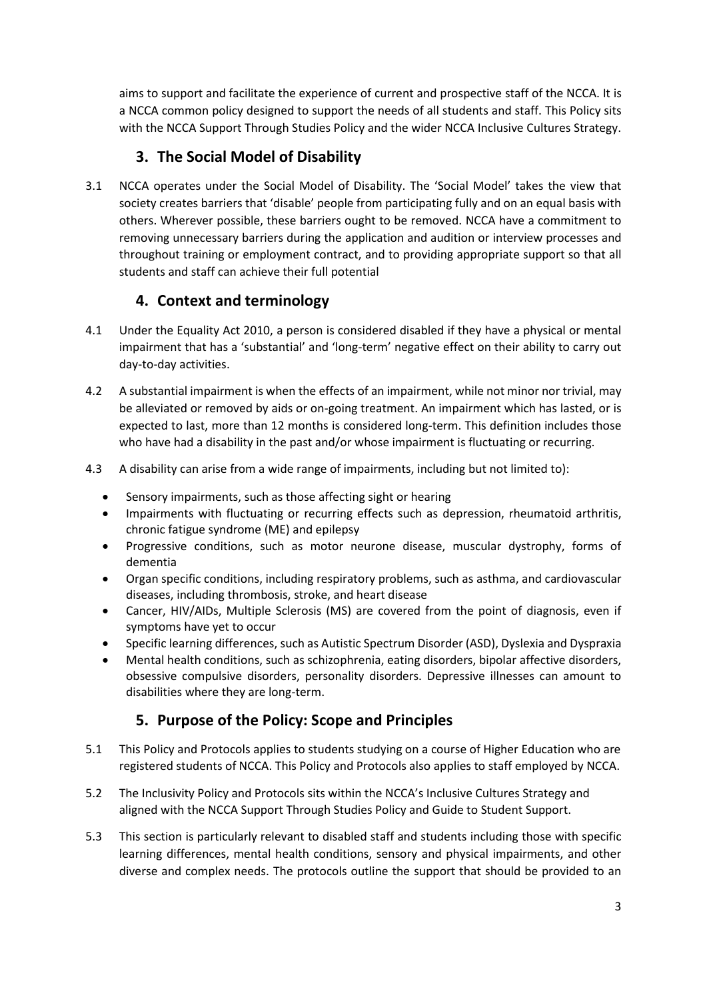aims to support and facilitate the experience of current and prospective staff of the NCCA. It is a NCCA common policy designed to support the needs of all students and staff. This Policy sits with the NCCA Support Through Studies Policy and the wider NCCA Inclusive Cultures Strategy.

## **3. The Social Model of Disability**

<span id="page-2-0"></span>3.1 NCCA operates under the Social Model of Disability. The ʻSocial Model' takes the view that society creates barriers that 'disable' people from participating fully and on an equal basis with others. Wherever possible, these barriers ought to be removed. NCCA have a commitment to removing unnecessary barriers during the application and audition or interview processes and throughout training or employment contract, and to providing appropriate support so that all students and staff can achieve their full potential

## **4. Context and terminology**

- <span id="page-2-1"></span>4.1 Under the Equality Act 2010, a person is considered disabled if they have a physical or mental impairment that has a 'substantial' and 'long-term' negative effect on their ability to carry out day-to-day activities.
- 4.2 A substantial impairment is when the effects of an impairment, while not minor nor trivial, may be alleviated or removed by aids or on-going treatment. An impairment which has lasted, or is expected to last, more than 12 months is considered long-term. This definition includes those who have had a disability in the past and/or whose impairment is fluctuating or recurring.
- 4.3 A disability can arise from a wide range of impairments, including but not limited to):
	- Sensory impairments, such as those affecting sight or hearing
	- Impairments with fluctuating or recurring effects such as depression, rheumatoid arthritis, chronic fatigue syndrome (ME) and epilepsy
	- Progressive conditions, such as motor neurone disease, muscular dystrophy, forms of dementia
	- Organ specific conditions, including respiratory problems, such as asthma, and cardiovascular diseases, including thrombosis, stroke, and heart disease
	- Cancer, HIV/AIDs, Multiple Sclerosis (MS) are covered from the point of diagnosis, even if symptoms have yet to occur
	- Specific learning differences, such as Autistic Spectrum Disorder (ASD), Dyslexia and Dyspraxia
	- Mental health conditions, such as schizophrenia, eating disorders, bipolar affective disorders, obsessive compulsive disorders, personality disorders. Depressive illnesses can amount to disabilities where they are long-term.

## **5. Purpose of the Policy: Scope and Principles**

- <span id="page-2-2"></span>5.1 This Policy and Protocols applies to students studying on a course of Higher Education who are registered students of NCCA. This Policy and Protocols also applies to staff employed by NCCA.
- 5.2 The Inclusivity Policy and Protocols sits within the NCCA's Inclusive Cultures Strategy and aligned with the NCCA Support Through Studies Policy and Guide to Student Support.
- 5.3 This section is particularly relevant to disabled staff and students including those with specific learning differences, mental health conditions, sensory and physical impairments, and other diverse and complex needs. The protocols outline the support that should be provided to an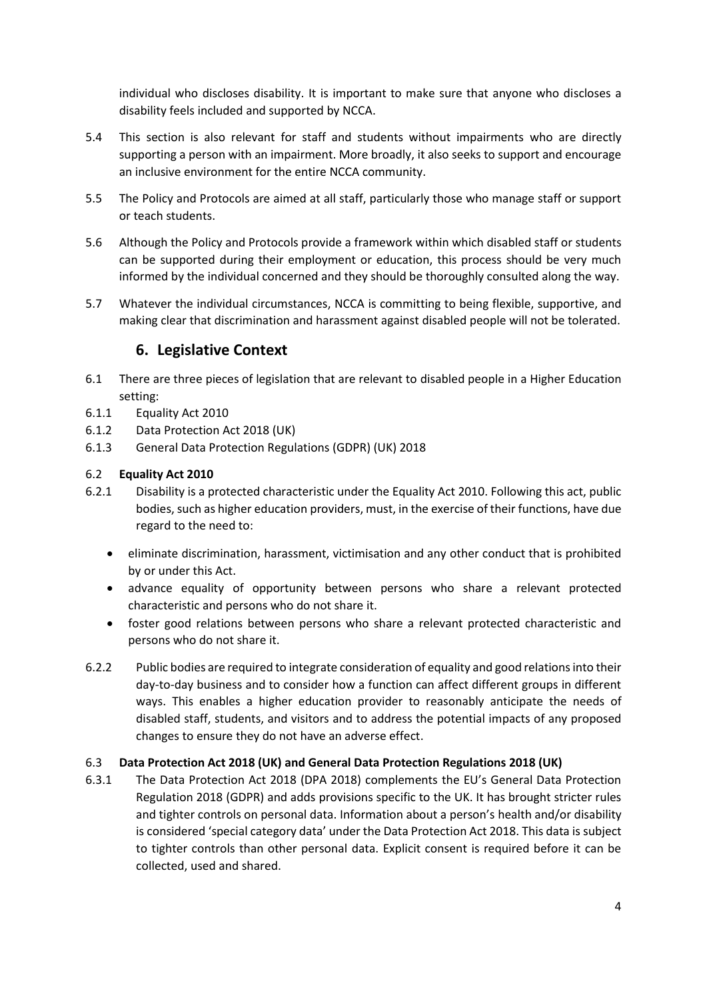individual who discloses disability. It is important to make sure that anyone who discloses a disability feels included and supported by NCCA.

- 5.4 This section is also relevant for staff and students without impairments who are directly supporting a person with an impairment. More broadly, it also seeks to support and encourage an inclusive environment for the entire NCCA community.
- 5.5 The Policy and Protocols are aimed at all staff, particularly those who manage staff or support or teach students.
- 5.6 Although the Policy and Protocols provide a framework within which disabled staff or students can be supported during their employment or education, this process should be very much informed by the individual concerned and they should be thoroughly consulted along the way.
- 5.7 Whatever the individual circumstances, NCCA is committing to being flexible, supportive, and making clear that discrimination and harassment against disabled people will not be tolerated.

## **6. Legislative Context**

- <span id="page-3-0"></span>6.1 There are three pieces of legislation that are relevant to disabled people in a Higher Education setting:
- 6.1.1 Equality Act 2010
- 6.1.2 Data Protection Act 2018 (UK)
- 6.1.3 General Data Protection Regulations (GDPR) (UK) 2018

#### 6.2 **Equality Act 2010**

- 6.2.1 Disability is a protected characteristic under the Equality Act 2010. Following this act, public bodies, such as higher education providers, must, in the exercise of their functions, have due regard to the need to:
	- eliminate discrimination, harassment, victimisation and any other conduct that is prohibited by or under this Act.
	- advance equality of opportunity between persons who share a relevant protected characteristic and persons who do not share it.
	- foster good relations between persons who share a relevant protected characteristic and persons who do not share it.
- 6.2.2 Public bodies are required to integrate consideration of equality and good relations into their day-to-day business and to consider how a function can affect different groups in different ways. This enables a higher education provider to reasonably anticipate the needs of disabled staff, students, and visitors and to address the potential impacts of any proposed changes to ensure they do not have an adverse effect.

#### 6.3 **Data Protection Act 2018 (UK) and General Data Protection Regulations 2018 (UK)**

6.3.1 The Data Protection Act 2018 (DPA 2018) complements the EU's General Data Protection Regulation 2018 (GDPR) and adds provisions specific to the UK. It has brought stricter rules and tighter controls on personal data. Information about a person's health and/or disability is considered 'special category data' under the Data Protection Act 2018. This data is subject to tighter controls than other personal data. Explicit consent is required before it can be collected, used and shared.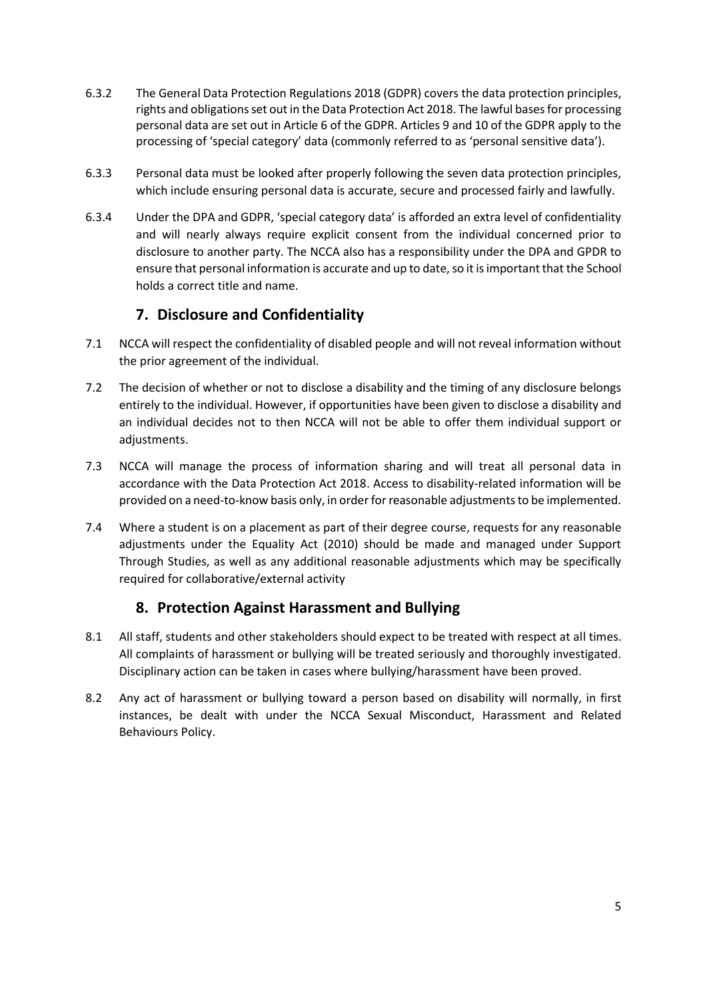- 6.3.2 The General Data Protection Regulations 2018 (GDPR) covers the data protection principles, rights and obligations set out in the Data Protection Act 2018. The lawful bases for processing personal data are set out in Article 6 of the GDPR. Articles 9 and 10 of the GDPR apply to the processing of 'special category' data (commonly referred to as 'personal sensitive data').
- 6.3.3 Personal data must be looked after properly following the seven data protection principles, which include ensuring personal data is accurate, secure and processed fairly and lawfully.
- 6.3.4 Under the DPA and GDPR, 'special category data' is afforded an extra level of confidentiality and will nearly always require explicit consent from the individual concerned prior to disclosure to another party. The NCCA also has a responsibility under the DPA and GPDR to ensure that personal information is accurate and up to date, so it is important that the School holds a correct title and name.

## **7. Disclosure and Confidentiality**

- <span id="page-4-0"></span>7.1 NCCA will respect the confidentiality of disabled people and will not reveal information without the prior agreement of the individual.
- 7.2 The decision of whether or not to disclose a disability and the timing of any disclosure belongs entirely to the individual. However, if opportunities have been given to disclose a disability and an individual decides not to then NCCA will not be able to offer them individual support or adiustments.
- 7.3 NCCA will manage the process of information sharing and will treat all personal data in accordance with the Data Protection Act 2018. Access to disability-related information will be provided on a need-to-know basis only, in order for reasonable adjustments to be implemented.
- 7.4 Where a student is on a placement as part of their degree course, requests for any reasonable adjustments under the Equality Act (2010) should be made and managed under Support Through Studies, as well as any additional reasonable adjustments which may be specifically required for collaborative/external activity

## **8. Protection Against Harassment and Bullying**

- <span id="page-4-1"></span>8.1 All staff, students and other stakeholders should expect to be treated with respect at all times. All complaints of harassment or bullying will be treated seriously and thoroughly investigated. Disciplinary action can be taken in cases where bullying/harassment have been proved.
- 8.2 Any act of harassment or bullying toward a person based on disability will normally, in first instances, be dealt with under the NCCA Sexual Misconduct, Harassment and Related Behaviours Policy.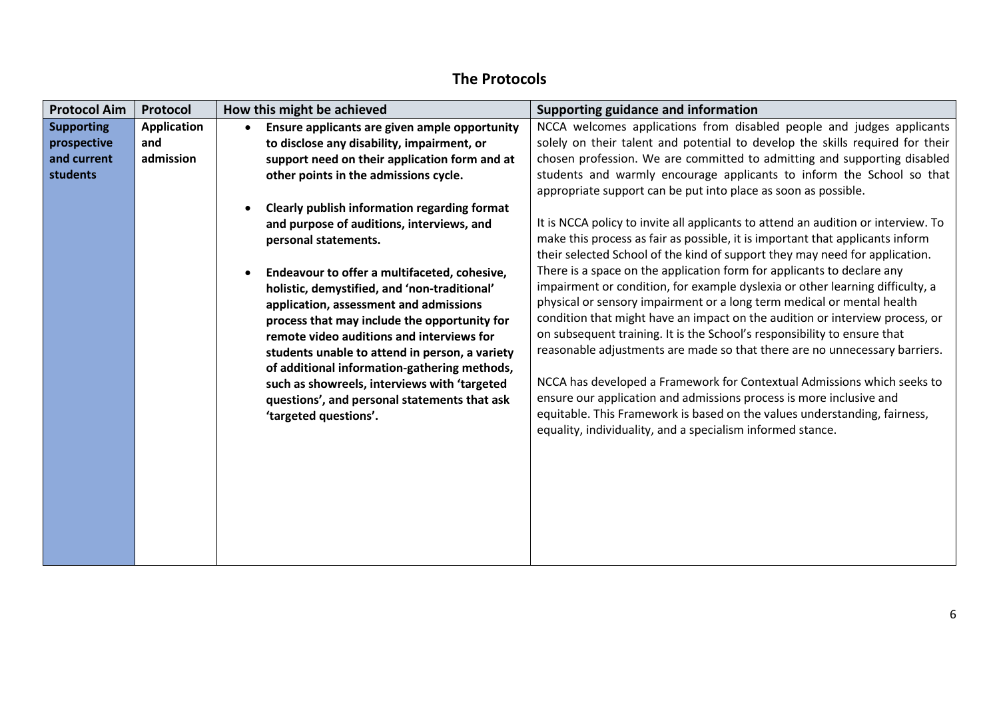<span id="page-5-0"></span>

## **The Protocols**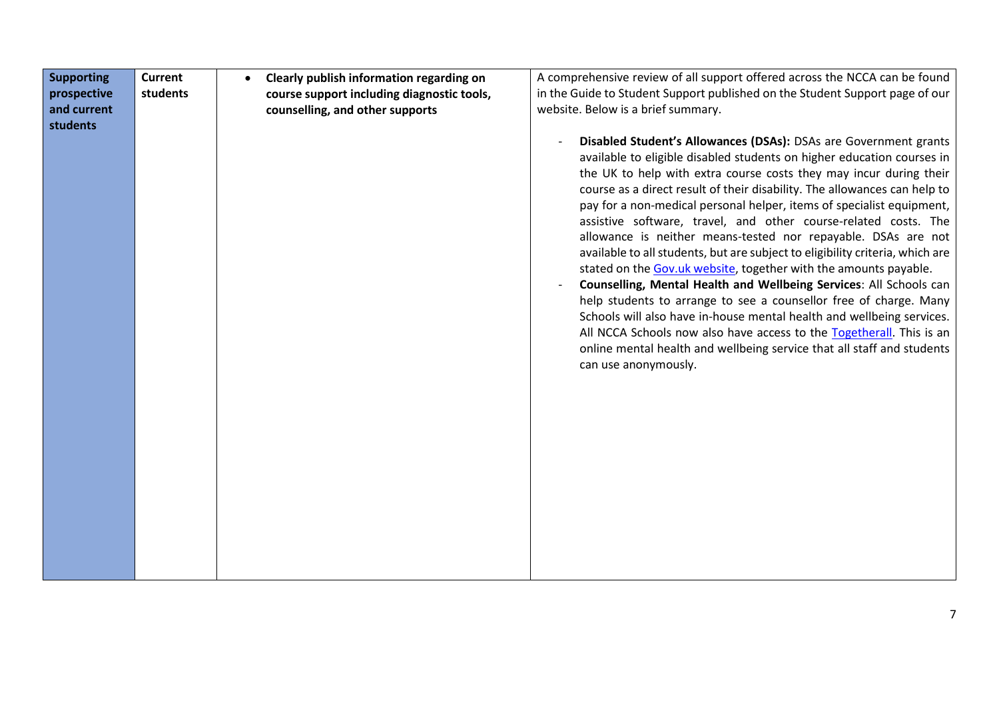| <b>Supporting</b> | <b>Current</b> | Clearly publish information regarding on   | A comprehensive review of all support offered across the NCCA can be found    |
|-------------------|----------------|--------------------------------------------|-------------------------------------------------------------------------------|
| prospective       | students       | course support including diagnostic tools, | in the Guide to Student Support published on the Student Support page of our  |
| and current       |                | counselling, and other supports            | website. Below is a brief summary.                                            |
| students          |                |                                            |                                                                               |
|                   |                |                                            | Disabled Student's Allowances (DSAs): DSAs are Government grants              |
|                   |                |                                            | available to eligible disabled students on higher education courses in        |
|                   |                |                                            | the UK to help with extra course costs they may incur during their            |
|                   |                |                                            | course as a direct result of their disability. The allowances can help to     |
|                   |                |                                            | pay for a non-medical personal helper, items of specialist equipment,         |
|                   |                |                                            | assistive software, travel, and other course-related costs. The               |
|                   |                |                                            | allowance is neither means-tested nor repayable. DSAs are not                 |
|                   |                |                                            | available to all students, but are subject to eligibility criteria, which are |
|                   |                |                                            | stated on the Gov.uk website, together with the amounts payable.              |
|                   |                |                                            | Counselling, Mental Health and Wellbeing Services: All Schools can            |
|                   |                |                                            | help students to arrange to see a counsellor free of charge. Many             |
|                   |                |                                            | Schools will also have in-house mental health and wellbeing services.         |
|                   |                |                                            | All NCCA Schools now also have access to the Togetherall. This is an          |
|                   |                |                                            | online mental health and wellbeing service that all staff and students        |
|                   |                |                                            | can use anonymously.                                                          |
|                   |                |                                            |                                                                               |
|                   |                |                                            |                                                                               |
|                   |                |                                            |                                                                               |
|                   |                |                                            |                                                                               |
|                   |                |                                            |                                                                               |
|                   |                |                                            |                                                                               |
|                   |                |                                            |                                                                               |
|                   |                |                                            |                                                                               |
|                   |                |                                            |                                                                               |
|                   |                |                                            |                                                                               |
|                   |                |                                            |                                                                               |
|                   |                |                                            |                                                                               |
|                   |                |                                            |                                                                               |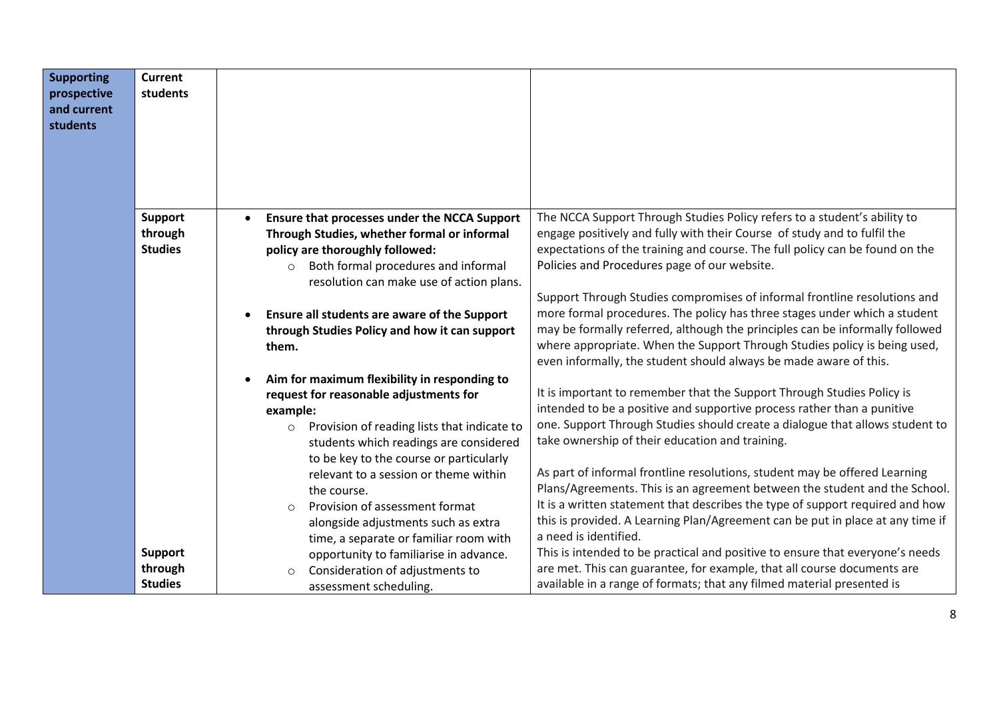| <b>Supporting</b><br>prospective<br>and current<br>students | <b>Current</b><br>students                  |                                                                                                                                                                                                                                                                                                                                                                                                                                                                                                                                                |  |
|-------------------------------------------------------------|---------------------------------------------|------------------------------------------------------------------------------------------------------------------------------------------------------------------------------------------------------------------------------------------------------------------------------------------------------------------------------------------------------------------------------------------------------------------------------------------------------------------------------------------------------------------------------------------------|--|
|                                                             | <b>Support</b><br>through<br><b>Studies</b> | The NCCA Support Through Studies Policy refers to a student's ability to<br>Ensure that processes under the NCCA Support<br>engage positively and fully with their Course of study and to fulfil the<br>Through Studies, whether formal or informal<br>expectations of the training and course. The full policy can be found on the<br>policy are thoroughly followed:<br>Policies and Procedures page of our website.<br>Both formal procedures and informal<br>$\circ$                                                                       |  |
|                                                             |                                             | resolution can make use of action plans.<br>Support Through Studies compromises of informal frontline resolutions and<br>more formal procedures. The policy has three stages under which a student<br>Ensure all students are aware of the Support<br>may be formally referred, although the principles can be informally followed<br>through Studies Policy and how it can support<br>where appropriate. When the Support Through Studies policy is being used,<br>them.<br>even informally, the student should always be made aware of this. |  |
|                                                             |                                             | Aim for maximum flexibility in responding to<br>It is important to remember that the Support Through Studies Policy is<br>request for reasonable adjustments for<br>intended to be a positive and supportive process rather than a punitive<br>example:<br>one. Support Through Studies should create a dialogue that allows student to<br>Provision of reading lists that indicate to<br>$\circ$<br>take ownership of their education and training.<br>students which readings are considered<br>to be key to the course or particularly      |  |
|                                                             |                                             | As part of informal frontline resolutions, student may be offered Learning<br>relevant to a session or theme within<br>Plans/Agreements. This is an agreement between the student and the School.<br>the course.<br>It is a written statement that describes the type of support required and how<br>Provision of assessment format<br>$\bigcirc$<br>this is provided. A Learning Plan/Agreement can be put in place at any time if<br>alongside adjustments such as extra<br>a need is identified.<br>time, a separate or familiar room with  |  |
|                                                             | Support<br>through<br><b>Studies</b>        | This is intended to be practical and positive to ensure that everyone's needs<br>opportunity to familiarise in advance.<br>are met. This can guarantee, for example, that all course documents are<br>Consideration of adjustments to<br>$\circ$<br>available in a range of formats; that any filmed material presented is<br>assessment scheduling.                                                                                                                                                                                           |  |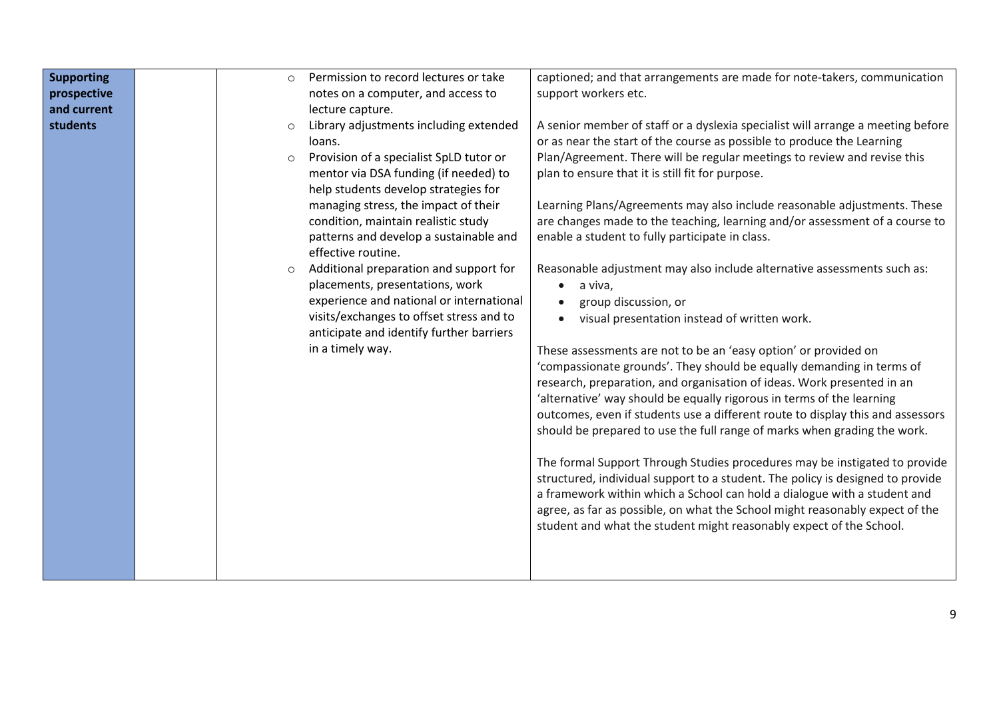| <b>Supporting</b> | Permission to record lectures or take<br>$\bigcirc$ | captioned; and that arrangements are made for note-takers, communication        |
|-------------------|-----------------------------------------------------|---------------------------------------------------------------------------------|
| prospective       | notes on a computer, and access to                  | support workers etc.                                                            |
| and current       | lecture capture.                                    |                                                                                 |
| students          | Library adjustments including extended              | A senior member of staff or a dyslexia specialist will arrange a meeting before |
|                   | loans.                                              | or as near the start of the course as possible to produce the Learning          |
|                   | Provision of a specialist SpLD tutor or<br>$\circ$  | Plan/Agreement. There will be regular meetings to review and revise this        |
|                   | mentor via DSA funding (if needed) to               | plan to ensure that it is still fit for purpose.                                |
|                   | help students develop strategies for                |                                                                                 |
|                   | managing stress, the impact of their                | Learning Plans/Agreements may also include reasonable adjustments. These        |
|                   | condition, maintain realistic study                 | are changes made to the teaching, learning and/or assessment of a course to     |
|                   | patterns and develop a sustainable and              | enable a student to fully participate in class.                                 |
|                   | effective routine.                                  |                                                                                 |
|                   | Additional preparation and support for<br>$\circ$   | Reasonable adjustment may also include alternative assessments such as:         |
|                   | placements, presentations, work                     | $\bullet$                                                                       |
|                   |                                                     | a viva,                                                                         |
|                   | experience and national or international            | group discussion, or                                                            |
|                   | visits/exchanges to offset stress and to            | visual presentation instead of written work.                                    |
|                   | anticipate and identify further barriers            |                                                                                 |
|                   | in a timely way.                                    | These assessments are not to be an 'easy option' or provided on                 |
|                   |                                                     | 'compassionate grounds'. They should be equally demanding in terms of           |
|                   |                                                     | research, preparation, and organisation of ideas. Work presented in an          |
|                   |                                                     | 'alternative' way should be equally rigorous in terms of the learning           |
|                   |                                                     | outcomes, even if students use a different route to display this and assessors  |
|                   |                                                     | should be prepared to use the full range of marks when grading the work.        |
|                   |                                                     |                                                                                 |
|                   |                                                     | The formal Support Through Studies procedures may be instigated to provide      |
|                   |                                                     | structured, individual support to a student. The policy is designed to provide  |
|                   |                                                     | a framework within which a School can hold a dialogue with a student and        |
|                   |                                                     | agree, as far as possible, on what the School might reasonably expect of the    |
|                   |                                                     | student and what the student might reasonably expect of the School.             |
|                   |                                                     |                                                                                 |
|                   |                                                     |                                                                                 |
|                   |                                                     |                                                                                 |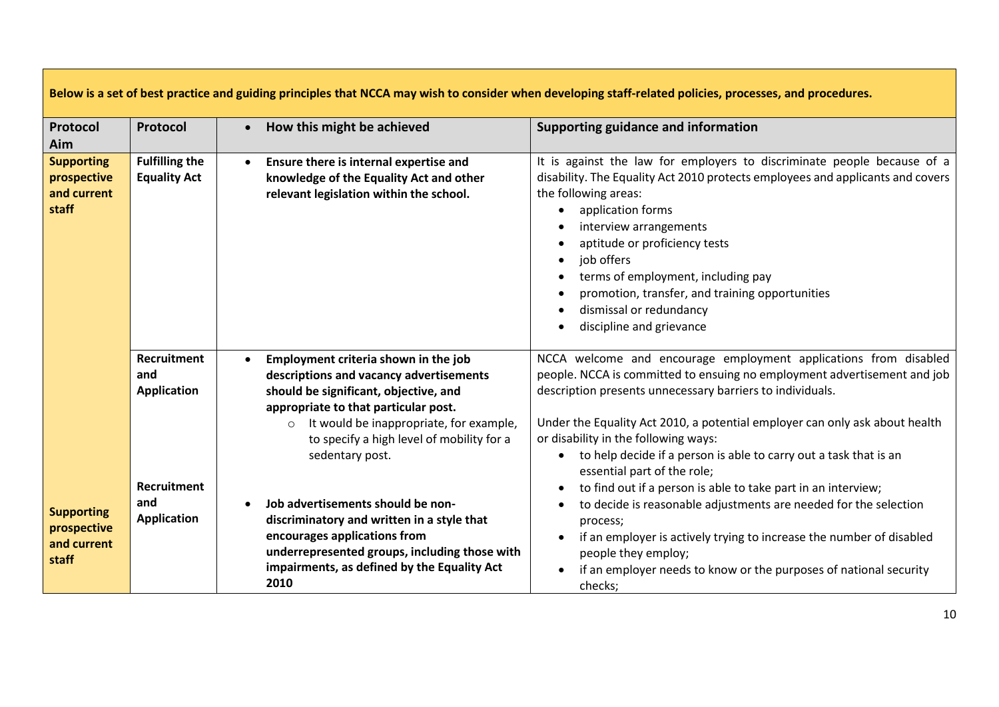| Below is a set of best practice and guiding principles that NCCA may wish to consider when developing staff-related policies, processes, and procedures. |                                                 |                                                                                                                                                                                                                                                                                                     |                                                                                                                                                                                                                                                                                                                                                                                                                                                                                     |
|----------------------------------------------------------------------------------------------------------------------------------------------------------|-------------------------------------------------|-----------------------------------------------------------------------------------------------------------------------------------------------------------------------------------------------------------------------------------------------------------------------------------------------------|-------------------------------------------------------------------------------------------------------------------------------------------------------------------------------------------------------------------------------------------------------------------------------------------------------------------------------------------------------------------------------------------------------------------------------------------------------------------------------------|
| Protocol<br>Aim                                                                                                                                          | Protocol                                        | How this might be achieved<br>$\bullet$                                                                                                                                                                                                                                                             | Supporting guidance and information                                                                                                                                                                                                                                                                                                                                                                                                                                                 |
| <b>Supporting</b><br>prospective<br>and current<br>staff                                                                                                 | <b>Fulfilling the</b><br><b>Equality Act</b>    | Ensure there is internal expertise and<br>knowledge of the Equality Act and other<br>relevant legislation within the school.                                                                                                                                                                        | It is against the law for employers to discriminate people because of a<br>disability. The Equality Act 2010 protects employees and applicants and covers<br>the following areas:<br>application forms<br>$\bullet$<br>interview arrangements<br>$\bullet$<br>aptitude or proficiency tests<br>job offers<br>$\bullet$<br>terms of employment, including pay<br>promotion, transfer, and training opportunities<br>$\bullet$<br>dismissal or redundancy<br>discipline and grievance |
|                                                                                                                                                          | <b>Recruitment</b><br>and<br><b>Application</b> | Employment criteria shown in the job<br>$\bullet$<br>descriptions and vacancy advertisements<br>should be significant, objective, and<br>appropriate to that particular post.<br>It would be inappropriate, for example,<br>$\circ$<br>to specify a high level of mobility for a<br>sedentary post. | NCCA welcome and encourage employment applications from disabled<br>people. NCCA is committed to ensuing no employment advertisement and job<br>description presents unnecessary barriers to individuals.<br>Under the Equality Act 2010, a potential employer can only ask about health<br>or disability in the following ways:<br>to help decide if a person is able to carry out a task that is an<br>$\bullet$<br>essential part of the role;                                   |
| <b>Supporting</b><br>prospective<br>and current<br>staff                                                                                                 | <b>Recruitment</b><br>and<br><b>Application</b> | Job advertisements should be non-<br>discriminatory and written in a style that<br>encourages applications from<br>underrepresented groups, including those with<br>impairments, as defined by the Equality Act<br>2010                                                                             | to find out if a person is able to take part in an interview;<br>to decide is reasonable adjustments are needed for the selection<br>process;<br>if an employer is actively trying to increase the number of disabled<br>$\bullet$<br>people they employ;<br>if an employer needs to know or the purposes of national security<br>checks;                                                                                                                                           |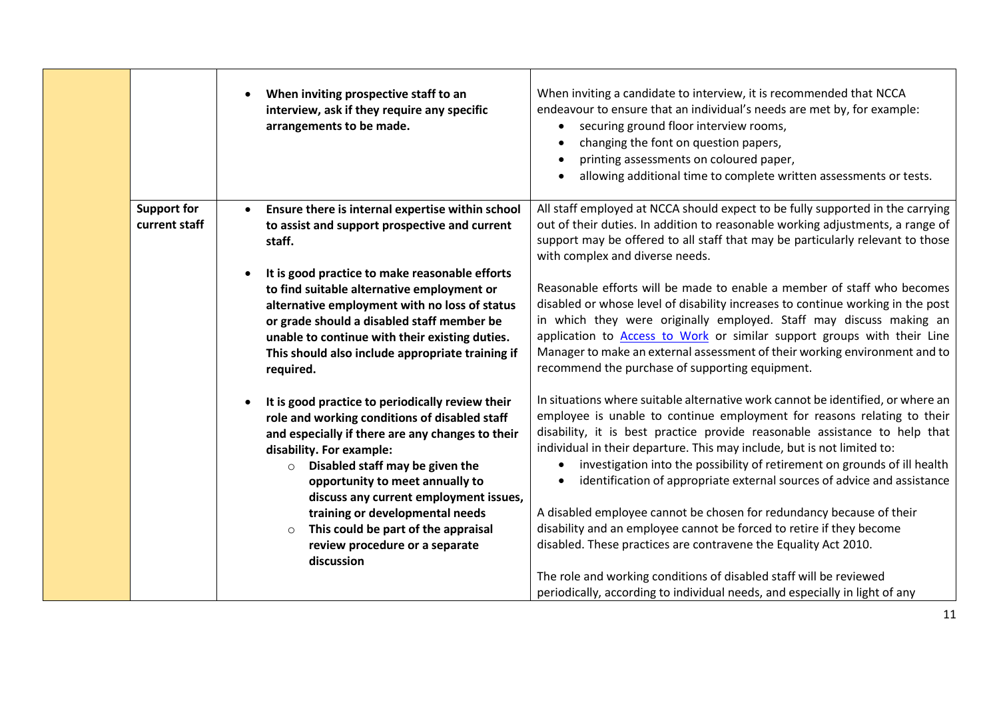|                                     | When inviting prospective staff to an<br>interview, ask if they require any specific<br>arrangements to be made.                                                                                                                                                                                                                                                                                                                               | When inviting a candidate to interview, it is recommended that NCCA<br>endeavour to ensure that an individual's needs are met by, for example:<br>securing ground floor interview rooms,<br>changing the font on question papers,<br>printing assessments on coloured paper,<br>allowing additional time to complete written assessments or tests.                                                                                                                                                                                                                                                                                                                                             |
|-------------------------------------|------------------------------------------------------------------------------------------------------------------------------------------------------------------------------------------------------------------------------------------------------------------------------------------------------------------------------------------------------------------------------------------------------------------------------------------------|------------------------------------------------------------------------------------------------------------------------------------------------------------------------------------------------------------------------------------------------------------------------------------------------------------------------------------------------------------------------------------------------------------------------------------------------------------------------------------------------------------------------------------------------------------------------------------------------------------------------------------------------------------------------------------------------|
| <b>Support for</b><br>current staff | Ensure there is internal expertise within school<br>to assist and support prospective and current<br>staff.                                                                                                                                                                                                                                                                                                                                    | All staff employed at NCCA should expect to be fully supported in the carrying<br>out of their duties. In addition to reasonable working adjustments, a range of<br>support may be offered to all staff that may be particularly relevant to those<br>with complex and diverse needs.                                                                                                                                                                                                                                                                                                                                                                                                          |
|                                     | It is good practice to make reasonable efforts<br>to find suitable alternative employment or<br>alternative employment with no loss of status<br>or grade should a disabled staff member be<br>unable to continue with their existing duties.<br>This should also include appropriate training if<br>required.                                                                                                                                 | Reasonable efforts will be made to enable a member of staff who becomes<br>disabled or whose level of disability increases to continue working in the post<br>in which they were originally employed. Staff may discuss making an<br>application to Access to Work or similar support groups with their Line<br>Manager to make an external assessment of their working environment and to<br>recommend the purchase of supporting equipment.                                                                                                                                                                                                                                                  |
|                                     | It is good practice to periodically review their<br>role and working conditions of disabled staff<br>and especially if there are any changes to their<br>disability. For example:<br>$\circ$ Disabled staff may be given the<br>opportunity to meet annually to<br>discuss any current employment issues,<br>training or developmental needs<br>This could be part of the appraisal<br>$\circ$<br>review procedure or a separate<br>discussion | In situations where suitable alternative work cannot be identified, or where an<br>employee is unable to continue employment for reasons relating to their<br>disability, it is best practice provide reasonable assistance to help that<br>individual in their departure. This may include, but is not limited to:<br>investigation into the possibility of retirement on grounds of ill health<br>identification of appropriate external sources of advice and assistance<br>A disabled employee cannot be chosen for redundancy because of their<br>disability and an employee cannot be forced to retire if they become<br>disabled. These practices are contravene the Equality Act 2010. |
|                                     |                                                                                                                                                                                                                                                                                                                                                                                                                                                | The role and working conditions of disabled staff will be reviewed<br>periodically, according to individual needs, and especially in light of any                                                                                                                                                                                                                                                                                                                                                                                                                                                                                                                                              |